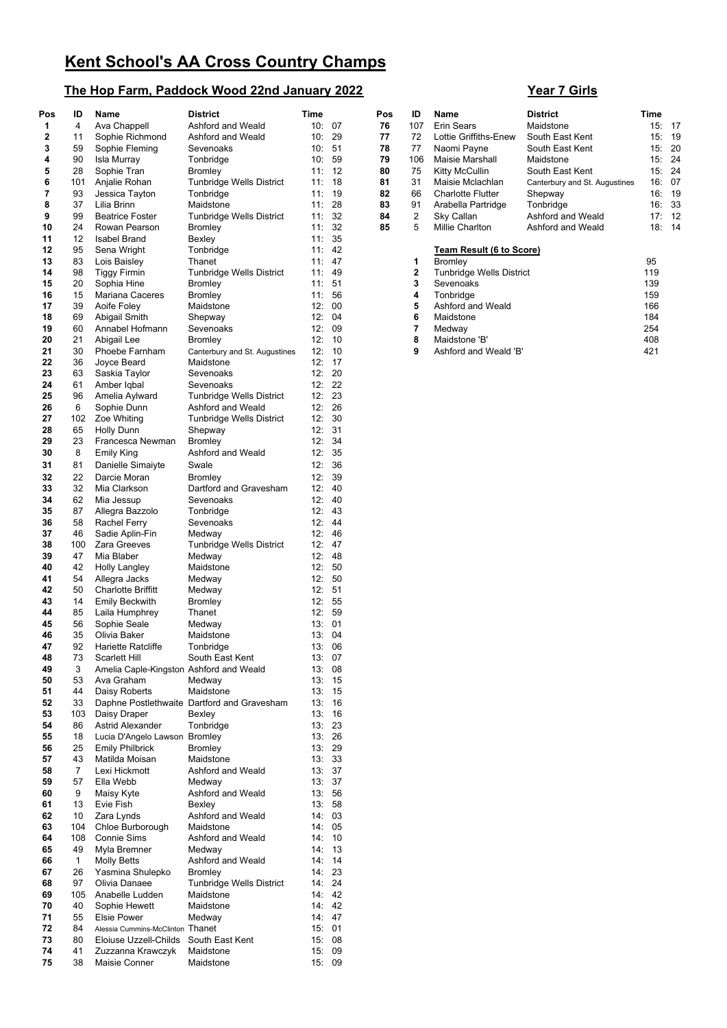## **The Hop Farm, Paddock Wood 22nd January 2022** Year 7 Girls

| Pos      | ID             | <b>Name</b>                                                               | <b>District</b>                                       | Time            |           | Pos      | ID                            | Name                             | <b>District</b>                | Time       |           |
|----------|----------------|---------------------------------------------------------------------------|-------------------------------------------------------|-----------------|-----------|----------|-------------------------------|----------------------------------|--------------------------------|------------|-----------|
| 1        | 4              | Ava Chappell                                                              | Ashford and Weald                                     | 10:07           |           | 76       | 107                           | <b>Erin Sears</b>                | Maidstone                      |            | 15:17     |
| 2        | 11             | Sophie Richmond                                                           | Ashford and Weald                                     | 10:             | 29        | 77       | 72                            | Lottie Griffiths-Enew            | South East Kent                |            | 15:19     |
| 3        | 59             | Sophie Fleming                                                            | Sevenoaks                                             | 10: 51          |           | 78       | 77                            | Naomi Payne                      | South East Kent                |            | 15:20     |
| 4        | 90             | Isla Murray                                                               | Tonbridge                                             | 10:59           |           | 79       | 106                           | Maisie Marshall                  | Maidstone                      | 15:        | 24        |
| 5        | 28             | Sophie Tran                                                               | <b>Bromley</b>                                        | 11: 12          |           | 80       | 75                            | Kitty McCullin                   | South East Kent                | 15:        | 24        |
| 6        | 101            | Anjalie Rohan                                                             | <b>Tunbridge Wells District</b>                       | 11:18           |           | 81       | 31                            | Maisie Mclachlan                 | Canterbury and St. Augustines  | 16:        | 07        |
| 7        | 93             | Jessica Tayton                                                            | Tonbridge                                             | 11:19           |           | 82       | 66                            | <b>Charlotte Flutter</b>         | Shepway                        | 16:        | ា9        |
| 8<br>9   | 37<br>99       | Lilia Brinn<br><b>Beatrice Foster</b>                                     | Maidstone<br>Tunbridge Wells District                 | 11:<br>11:32    | 28        | 83<br>84 | 91<br>$\overline{\mathbf{c}}$ | Arabella Partridge<br>Sky Callan | Tonbridge<br>Ashford and Weald | 16:<br>17: | 33<br>-12 |
| 10       | 24             | Rowan Pearson                                                             | Bromley                                               | 11:             | 32        | 85       | 5                             | Millie Charlton                  | Ashford and Weald              |            | 18: 14    |
| 11       | 12             | <b>Isabel Brand</b>                                                       | Bexley                                                | 11:35           |           |          |                               |                                  |                                |            |           |
| 12       | 95             | Sena Wright                                                               | Tonbridge                                             | 11: 42          |           |          |                               | Team Result (6 to Score)         |                                |            |           |
| 13       | 83             | Lois Baisley                                                              | Thanet                                                | 11: 47          |           |          | 1                             | <b>Bromley</b>                   |                                | 95         |           |
| 14       | 98             | <b>Tiggy Firmin</b>                                                       | Tunbridge Wells District                              | 11: 49          |           |          | 2                             | <b>Tunbridge Wells District</b>  |                                | 119        |           |
| 15       | 20             | Sophia Hine                                                               | <b>Bromley</b>                                        | 11: 51          |           |          | 3                             | Sevenoaks                        |                                | 139        |           |
| 16       | 15             | <b>Mariana Caceres</b>                                                    | <b>Bromley</b>                                        | 11:56           |           |          | 4                             | Tonbridge                        |                                | 159        |           |
| 17       | 39             | Aoife Foley                                                               | Maidstone                                             | 12: 00          |           |          | 5                             | Ashford and Weald                |                                | 166        |           |
| 18<br>19 | 69<br>60       | Abigail Smith<br>Annabel Hofmann                                          | Shepway<br>Sevenoaks                                  | 12: 04<br>12:09 |           |          | 6<br>7                        | Maidstone                        |                                | 184<br>254 |           |
| 20       | 21             | Abigail Lee                                                               | <b>Bromley</b>                                        | 12:             | - 10      |          | 8                             | Medway<br>Maidstone 'B'          |                                | 408        |           |
| 21       | 30             | Phoebe Farnham                                                            | Canterbury and St. Augustines                         | 12:             | 10        |          | 9                             | Ashford and Weald 'B'            |                                | 421        |           |
| 22       | 36             | Joyce Beard                                                               | Maidstone                                             | 12:             | - 17      |          |                               |                                  |                                |            |           |
| 23       | 63             | Saskia Taylor                                                             | Sevenoaks                                             | 12:             | 20        |          |                               |                                  |                                |            |           |
| 24       | 61             | Amber Iqbal                                                               | Sevenoaks                                             | 12:22           |           |          |                               |                                  |                                |            |           |
| 25       | 96             | Amelia Aylward                                                            | <b>Tunbridge Wells District</b>                       | 12:             | 23        |          |                               |                                  |                                |            |           |
| 26       | 6              | Sophie Dunn                                                               | Ashford and Weald                                     | 12:26           |           |          |                               |                                  |                                |            |           |
| 27       | 102            | Zoe Whiting                                                               | Tunbridge Wells District                              | 12:             | 30        |          |                               |                                  |                                |            |           |
| 28       | 65             | <b>Holly Dunn</b>                                                         | Shepway                                               | 12:31           |           |          |                               |                                  |                                |            |           |
| 29       | 23             | Francesca Newman                                                          | <b>Bromley</b>                                        | 12:             | 34        |          |                               |                                  |                                |            |           |
| 30       | 8              | <b>Emily King</b>                                                         | Ashford and Weald                                     | 12:35           |           |          |                               |                                  |                                |            |           |
| 31       | 81<br>22       | Danielle Simaiyte                                                         | Swale                                                 | 12:<br>12:      | -36<br>39 |          |                               |                                  |                                |            |           |
| 32<br>33 | 32             | Darcie Moran<br>Mia Clarkson                                              | Bromley<br>Dartford and Gravesham                     | 12: 40          |           |          |                               |                                  |                                |            |           |
| 34       | 62             | Mia Jessup                                                                | Sevenoaks                                             | 12: 40          |           |          |                               |                                  |                                |            |           |
| 35       | 87             | Allegra Bazzolo                                                           | Tonbridge                                             | 12: 43          |           |          |                               |                                  |                                |            |           |
| 36       | 58             | <b>Rachel Ferry</b>                                                       | Sevenoaks                                             | 12: 44          |           |          |                               |                                  |                                |            |           |
| 37       | 46             | Sadie Aplin-Fin                                                           | Medway                                                | 12: 46          |           |          |                               |                                  |                                |            |           |
| 38       | 100            | Zara Greeves                                                              | Tunbridge Wells District                              | 12:             | -47       |          |                               |                                  |                                |            |           |
| 39       | 47             | Mia Blaber                                                                | Medway                                                | 12: 48          |           |          |                               |                                  |                                |            |           |
| 40       | 42             | <b>Holly Langley</b>                                                      | Maidstone                                             | 12: 50          |           |          |                               |                                  |                                |            |           |
| 41       | 54             | Allegra Jacks                                                             | Medway                                                | 12:             | 50        |          |                               |                                  |                                |            |           |
| 42<br>43 | 50<br>14       | <b>Charlotte Briffitt</b><br><b>Emily Beckwith</b>                        | Medway<br><b>Bromley</b>                              | 12: 51          | 12:55     |          |                               |                                  |                                |            |           |
| 44       | 85             | Laila Humphrey                                                            | Thanet                                                | 12: 59          |           |          |                               |                                  |                                |            |           |
| 45       | 56             | Sophie Seale                                                              | Medway                                                | 13:01           |           |          |                               |                                  |                                |            |           |
| 46       | 35             | Olivia Baker                                                              | Maidstone                                             | 13:04           |           |          |                               |                                  |                                |            |           |
| 47       | 92             | Hariette Ratcliffe                                                        | Tonbridge                                             | 13:06           |           |          |                               |                                  |                                |            |           |
| 48       | 73             | Scarlett Hill                                                             | South East Kent                                       |                 | 13:07     |          |                               |                                  |                                |            |           |
| 49       | 3              | Amelia Caple-Kingston Ashford and Weald                                   |                                                       |                 | 13:08     |          |                               |                                  |                                |            |           |
| 50       | 53             | Ava Graham                                                                | Medway                                                |                 | 13:15     |          |                               |                                  |                                |            |           |
| 51       | 44             | Daisy Roberts                                                             | Maidstone                                             | 13:15           |           |          |                               |                                  |                                |            |           |
| 52<br>53 | 33<br>103      | Daisy Draper                                                              | Daphne Postlethwaite Dartford and Gravesham<br>Bexley | 13:<br>13:16    | 16        |          |                               |                                  |                                |            |           |
| 54       | 86             | Astrid Alexander                                                          | Tonbridge                                             | 13:23           |           |          |                               |                                  |                                |            |           |
| 55       | 18             | Lucia D'Angelo Lawson Bromley                                             |                                                       |                 | 13:26     |          |                               |                                  |                                |            |           |
| 56       | 25             | <b>Emily Philbrick</b>                                                    | Bromley                                               | 13:29           |           |          |                               |                                  |                                |            |           |
| 57       | 43             | Matilda Moisan                                                            | Maidstone                                             | 13:33           |           |          |                               |                                  |                                |            |           |
| 58       | $\overline{7}$ | Lexi Hickmott                                                             | Ashford and Weald                                     |                 | 13:37     |          |                               |                                  |                                |            |           |
| 59       | 57             | Ella Webb                                                                 | Medway                                                | 13:37           |           |          |                               |                                  |                                |            |           |
| 60       | 9              | Maisy Kyte                                                                | Ashford and Weald                                     | 13:56           |           |          |                               |                                  |                                |            |           |
| 61       | 13             | Evie Fish                                                                 | Bexley<br>Ashford and Weald                           | 13:58           |           |          |                               |                                  |                                |            |           |
| 62<br>63 | 10<br>104      | Zara Lynds<br>Chloe Burborough                                            | Maidstone                                             | 14:03<br>14: 05 |           |          |                               |                                  |                                |            |           |
| 64       | 108            | Connie Sims                                                               | Ashford and Weald                                     | 14:10           |           |          |                               |                                  |                                |            |           |
| 65       | 49             | Myla Bremner                                                              | Medway                                                |                 | 14:13     |          |                               |                                  |                                |            |           |
| 66       | $\mathbf{1}$   | <b>Molly Betts</b>                                                        | Ashford and Weald                                     |                 | 14:14     |          |                               |                                  |                                |            |           |
| 67       | 26             | Yasmina Shulepko                                                          | <b>Bromley</b>                                        | 14: 23          |           |          |                               |                                  |                                |            |           |
| 68       | 97             | Olivia Danaee                                                             | Tunbridge Wells District                              | 14:24           |           |          |                               |                                  |                                |            |           |
| 69       | 105            | Anabelle Ludden                                                           | Maidstone                                             | 14: 42          |           |          |                               |                                  |                                |            |           |
| 70       | 40             | Sophie Hewett                                                             | Maidstone                                             | 14: 42          |           |          |                               |                                  |                                |            |           |
| 71       | 55             | <b>Elsie Power</b>                                                        | Medway                                                | 14: 47          |           |          |                               |                                  |                                |            |           |
| 72       | 84             | Alessia Cummins-McClinton Thanet<br>Eloiuse Uzzell-Childs South East Kent |                                                       | 15:01           |           |          |                               |                                  |                                |            |           |
| 73<br>74 | 80<br>41       | Zuzzanna Krawczyk                                                         | Maidstone                                             | 15:08<br>15:09  |           |          |                               |                                  |                                |            |           |
| 75       | 38             | Maisie Conner                                                             | Maidstone                                             | 15:09           |           |          |                               |                                  |                                |            |           |
|          |                |                                                                           |                                                       |                 |           |          |                               |                                  |                                |            |           |

| ID           | Name                            | District                      | Time |    |
|--------------|---------------------------------|-------------------------------|------|----|
| 107          | Erin Sears                      | Maidstone                     | 15:  | 17 |
| 72           | Lottie Griffiths-Enew           | South East Kent               | 15:  | 19 |
| 77           | Naomi Payne                     | South East Kent               | 15:  | 20 |
| 106          | Maisie Marshall                 | Maidstone                     | 15:  | 24 |
| 75           | Kitty McCullin                  | South East Kent               | 15:  | 24 |
| 31           | Maisie Mclachlan                | Canterbury and St. Augustines | 16:  | 07 |
| 66           | <b>Charlotte Flutter</b>        | Shepway                       | 16:  | 19 |
| 91           | Arabella Partridge              | Tonbridge                     | 16:  | 33 |
| 2            | Sky Callan                      | Ashford and Weald             | 17:  | 12 |
| 5            | Millie Charlton                 | Ashford and Weald             | 18:  | 14 |
|              | <b>Team Result (6 to Score)</b> |                               |      |    |
| 1            | <b>Bromley</b>                  |                               | 95   |    |
| $\mathbf{2}$ | <b>Tunbridge Wells District</b> |                               | 119  |    |
| 3            | Sevenoaks                       |                               | 139  |    |
| 4            | Tonbridge                       |                               | 159  |    |
| 5            | Ashford and Weald               |                               | 166  |    |
| 6            | Maidstone                       |                               | 184  |    |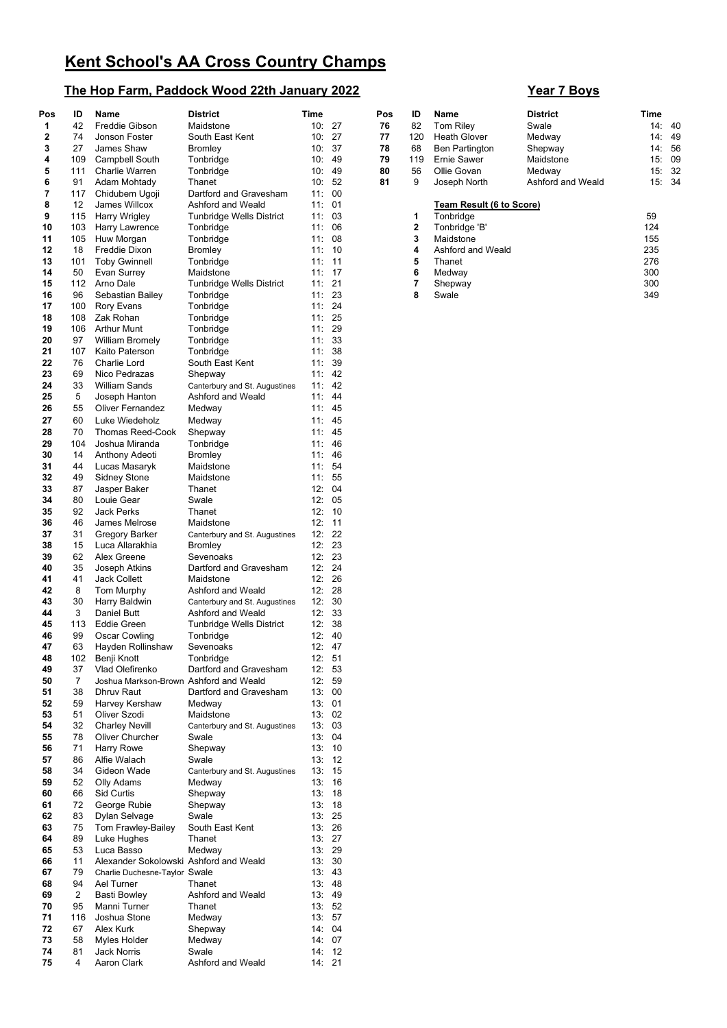## **The Hop Farm, Paddock Wood 22th January 2022 Year 7 Boys**

| Pos | ID             | Name                                   | <b>District</b>               | Time   |        | Pos | ID          | Name                     | <b>District</b>   | Time |        |
|-----|----------------|----------------------------------------|-------------------------------|--------|--------|-----|-------------|--------------------------|-------------------|------|--------|
| 1   | 42             | <b>Freddie Gibson</b>                  | Maidstone                     |        | 10:27  | 76  | 82          | Tom Riley                | Swale             |      | 14:40  |
| 2   | 74             | Jonson Foster                          | South East Kent               |        | 10:27  | 77  | 120         | <b>Heath Glover</b>      | Medway            | 14:  | 49     |
| 3   | 27             | James Shaw                             | Bromley                       | 10:37  |        | 78  | 68          | Ben Partington           | Shepway           |      | 14: 56 |
| 4   | 109            | Campbell South                         | Tonbridge                     | 10:49  |        | 79  | 119         | <b>Ernie Sawer</b>       | Maidstone         | 15:  | 0ĉ     |
| 5   | 111            | Charlie Warren                         | Tonbridge                     |        | 10:49  | 80  | 56          | Ollie Govan              | Medway            | 15:  | 32     |
| 6   | 91             | Adam Mohtady                           | Thanet                        |        | 10: 52 | 81  | 9           | Joseph North             | Ashford and Weald |      | 15: 34 |
| 7   | 117            | Chidubem Ugoji                         | Dartford and Gravesham        | 11: 00 |        |     |             |                          |                   |      |        |
| 8   | 12             | James Willcox                          | Ashford and Weald             | 11: 01 |        |     |             | Team Result (6 to Score) |                   |      |        |
| 9   | 115            | Harry Wrigley                          | Tunbridge Wells District      | 11:03  |        |     | 1           | Tonbridge                |                   | 59   |        |
|     |                |                                        |                               |        | 06     |     | $\mathbf 2$ |                          |                   | 124  |        |
| 10  | 103            | Harry Lawrence                         | Tonbridge                     | 11:    |        |     |             | Tonbridge 'B'            |                   |      |        |
| 11  | 105            | Huw Morgan                             | Tonbridge                     | 11:08  |        |     | 3           | Maidstone                |                   | 155  |        |
| 12  | 18             | <b>Freddie Dixon</b>                   | <b>Bromley</b>                | 11: 10 |        |     | 4           | Ashford and Weald        |                   | 235  |        |
| 13  | 101            | <b>Toby Gwinnell</b>                   | Tonbridge                     | 11: 11 |        |     | 5           | Thanet                   |                   | 276  |        |
| 14  | 50             | Evan Surrey                            | Maidstone                     | 11: 17 |        |     | 6           | Medway                   |                   | 300  |        |
| 15  | 112            | Arno Dale                              | Tunbridge Wells District      | 11:21  |        |     | 7           | Shepway                  |                   | 300  |        |
| 16  | 96             | Sebastian Bailey                       | Tonbridge                     | 11:23  |        |     | 8           | Swale                    |                   | 349  |        |
| 17  | 100            | <b>Rory Evans</b>                      | Tonbridge                     | 11:24  |        |     |             |                          |                   |      |        |
| 18  | 108            | Zak Rohan                              | Tonbridge                     | 11:25  |        |     |             |                          |                   |      |        |
| 19  | 106            | <b>Arthur Munt</b>                     | Tonbridge                     | 11:29  |        |     |             |                          |                   |      |        |
| 20  | 97             | <b>William Bromely</b>                 | Tonbridge                     | 11:33  |        |     |             |                          |                   |      |        |
| 21  |                |                                        |                               |        | 38     |     |             |                          |                   |      |        |
|     | 107            | Kaito Paterson                         | Tonbridge                     | 11:    |        |     |             |                          |                   |      |        |
| 22  | 76             | Charlie Lord                           | South East Kent               | 11:39  |        |     |             |                          |                   |      |        |
| 23  | 69             | Nico Pedrazas                          | Shepway                       | 11: 42 |        |     |             |                          |                   |      |        |
| 24  | 33             | <b>William Sands</b>                   | Canterbury and St. Augustines |        | 11: 42 |     |             |                          |                   |      |        |
| 25  | 5              | Joseph Hanton                          | Ashford and Weald             | 11: 44 |        |     |             |                          |                   |      |        |
| 26  | 55             | <b>Oliver Fernandez</b>                | Medway                        | 11: 45 |        |     |             |                          |                   |      |        |
| 27  | 60             | Luke Wiedeholz                         | Medway                        | 11: 45 |        |     |             |                          |                   |      |        |
| 28  | 70             | <b>Thomas Reed-Cook</b>                | Shepway                       |        | 11: 45 |     |             |                          |                   |      |        |
|     |                |                                        |                               |        |        |     |             |                          |                   |      |        |
| 29  | 104            | Joshua Miranda                         | Tonbridge                     | 11: 46 |        |     |             |                          |                   |      |        |
| 30  | 14             | Anthony Adeoti                         | Bromley                       | 11: 46 |        |     |             |                          |                   |      |        |
| 31  | 44             | Lucas Masaryk                          | Maidstone                     | 11:54  |        |     |             |                          |                   |      |        |
| 32  | 49             | <b>Sidney Stone</b>                    | Maidstone                     | 11: 55 |        |     |             |                          |                   |      |        |
| 33  | 87             | Jasper Baker                           | Thanet                        | 12:04  |        |     |             |                          |                   |      |        |
| 34  | 80             | Louie Gear                             | Swale                         | 12: 05 |        |     |             |                          |                   |      |        |
| 35  | 92             | <b>Jack Perks</b>                      | Thanet                        | 12:    | 10     |     |             |                          |                   |      |        |
| 36  | 46             | James Melrose                          | Maidstone                     | 12:    | 11     |     |             |                          |                   |      |        |
| 37  | 31             | Gregory Barker                         | Canterbury and St. Augustines |        | 12:22  |     |             |                          |                   |      |        |
| 38  | 15             | Luca Allarakhia                        | <b>Bromley</b>                | 12:    | 23     |     |             |                          |                   |      |        |
| 39  | 62             | Alex Greene                            | Sevenoaks                     | 12:    | 23     |     |             |                          |                   |      |        |
|     |                |                                        |                               |        |        |     |             |                          |                   |      |        |
| 40  | 35             | Joseph Atkins                          | Dartford and Gravesham        | 12:    | -24    |     |             |                          |                   |      |        |
| 41  | 41             | Jack Collett                           | Maidstone                     | 12:    | -26    |     |             |                          |                   |      |        |
| 42  | 8              | <b>Tom Murphy</b>                      | Ashford and Weald             |        | 12:28  |     |             |                          |                   |      |        |
| 43  | 30             | Harry Baldwin                          | Canterbury and St. Augustines | 12:    | 30     |     |             |                          |                   |      |        |
| 44  | 3              | Daniel Butt                            | Ashford and Weald             | 12:33  |        |     |             |                          |                   |      |        |
| 45  | 113            | <b>Eddie Green</b>                     | Tunbridge Wells District      | 12:    | 38     |     |             |                          |                   |      |        |
| 46  | 99             | Oscar Cowling                          | Tonbridge                     | 12:    | 40     |     |             |                          |                   |      |        |
| 47  | 63             | Hayden Rollinshaw                      | Sevenoaks                     | 12: 47 |        |     |             |                          |                   |      |        |
| 48  | 102            | Benji Knott                            | Tonbridge                     | 12: 51 |        |     |             |                          |                   |      |        |
| 49  | 37             | Vlad Olefirenko                        | Dartford and Gravesham        |        | 12: 53 |     |             |                          |                   |      |        |
| 50  | $\overline{7}$ | Joshua Markson-Brown Ashford and Weald |                               |        | 12: 59 |     |             |                          |                   |      |        |
|     |                |                                        |                               |        |        |     |             |                          |                   |      |        |
| 51  | 38             | Dhruy Raut                             | Dartford and Gravesham        |        | 13:00  |     |             |                          |                   |      |        |
| 52  | 59             | Harvey Kershaw                         | Medway                        |        | 13:01  |     |             |                          |                   |      |        |
| 53  | 51             | Oliver Szodi                           | Maidstone                     |        | 13:02  |     |             |                          |                   |      |        |
| 54  | 32             | <b>Charley Nevill</b>                  | Canterbury and St. Augustines |        | 13:03  |     |             |                          |                   |      |        |
| 55  | 78             | <b>Oliver Churcher</b>                 | Swale                         |        | 13:04  |     |             |                          |                   |      |        |
| 56  | 71             | Harry Rowe                             | Shepway                       |        | 13:10  |     |             |                          |                   |      |        |
| 57  | 86             | Alfie Walach                           | Swale                         |        | 13:12  |     |             |                          |                   |      |        |
| 58  | 34             | Gideon Wade                            | Canterbury and St. Augustines |        | 13:15  |     |             |                          |                   |      |        |
| 59  | 52             | Olly Adams                             | Medway                        |        | 13:16  |     |             |                          |                   |      |        |
| 60  | 66             | Sid Curtis                             | Shepway                       |        | 13:18  |     |             |                          |                   |      |        |
|     | 72             |                                        |                               |        |        |     |             |                          |                   |      |        |
| 61  |                | George Rubie                           | Shepway                       |        | 13:18  |     |             |                          |                   |      |        |
| 62  | 83             | Dylan Selvage                          | Swale                         |        | 13:25  |     |             |                          |                   |      |        |
| 63  | 75             | Tom Frawley-Bailey                     | South East Kent               |        | 13: 26 |     |             |                          |                   |      |        |
| 64  | 89             | Luke Hughes                            | Thanet                        |        | 13:27  |     |             |                          |                   |      |        |
| 65  | 53             | Luca Basso                             | Medway                        |        | 13:29  |     |             |                          |                   |      |        |
| 66  | 11             | Alexander Sokolowski Ashford and Weald |                               |        | 13:30  |     |             |                          |                   |      |        |
| 67  | 79             | Charlie Duchesne-Taylor Swale          |                               |        | 13: 43 |     |             |                          |                   |      |        |
| 68  | 94             | Ael Turner                             | Thanet                        |        | 13:48  |     |             |                          |                   |      |        |
| 69  | $\overline{2}$ | <b>Basti Bowley</b>                    | Ashford and Weald             |        | 13:49  |     |             |                          |                   |      |        |
| 70  | 95             | Manni Turner                           | Thanet                        |        | 13: 52 |     |             |                          |                   |      |        |
|     |                |                                        |                               |        |        |     |             |                          |                   |      |        |
| 71  | 116            | Joshua Stone                           | Medway                        |        | 13: 57 |     |             |                          |                   |      |        |
| 72  | 67             | Alex Kurk                              | Shepway                       |        | 14:04  |     |             |                          |                   |      |        |
| 73  | 58             | Myles Holder                           | Medway                        |        | 14: 07 |     |             |                          |                   |      |        |
| 74  | 81             | Jack Norris                            | Swale                         |        | 14:12  |     |             |                          |                   |      |        |
| 75  | 4              | Aaron Clark                            | Ashford and Weald             | 14: 21 |        |     |             |                          |                   |      |        |

| Time |           |
|------|-----------|
| 14:  | 40        |
| 14:  | 49        |
| 14:  | 56        |
| 15:  | 09        |
| 15:  | 32        |
| 15:  | 34        |
|      |           |
|      |           |
|      |           |
|      |           |
| 155  |           |
| 235  |           |
|      |           |
| 276  |           |
| 300  |           |
|      | 59<br>124 |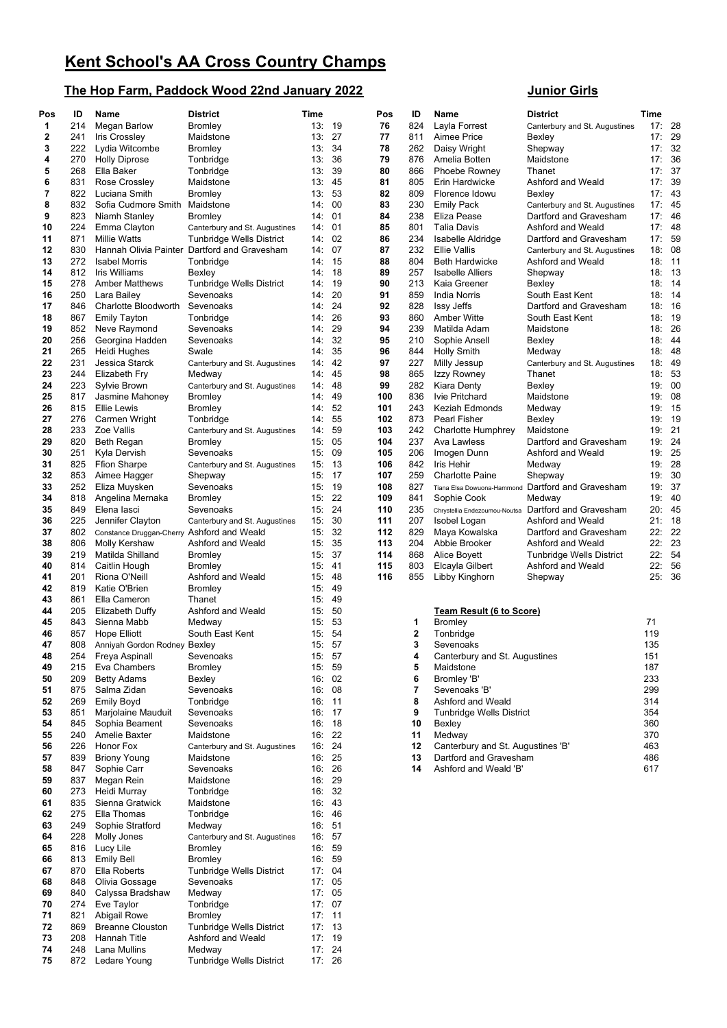## **The Hop Farm, Paddock Wood 22nd January 2022 Junior Girls**

| Pos | ID  | Name                                       | <b>District</b>                              | Time   |        | Pos | ID  | Name                              | <b>District</b>                                      | Time  |           |
|-----|-----|--------------------------------------------|----------------------------------------------|--------|--------|-----|-----|-----------------------------------|------------------------------------------------------|-------|-----------|
| 1   | 214 | Megan Barlow                               | Bromley                                      | 13:19  |        | 76  | 824 | Layla Forrest                     | Canterbury and St. Augustines                        | 17:   | -28       |
| 2   | 241 |                                            | Maidstone                                    | 13:27  |        | 77  | 811 | Aimee Price                       | Bexley                                               | 17:   | 29        |
|     |     | <b>Iris Crossley</b>                       |                                              |        |        |     |     |                                   |                                                      |       |           |
| 3   | 222 | Lydia Witcombe                             | <b>Bromley</b>                               | 13:    | 34     | 78  | 262 | Daisy Wright                      | Shepway                                              | 17:   | 32        |
| 4   | 270 | <b>Holly Diprose</b>                       | Tonbridge                                    | 13:    | 36     | 79  | 876 | Amelia Botten                     | Maidstone                                            | 17:   | 36        |
| 5   | 268 | Ella Baker                                 | Tonbridge                                    | 13:    | 39     | 80  | 866 | Phoebe Rowney                     | Thanet                                               | 17:   | 37        |
| 6   | 831 | Rose Crossley                              |                                              | 13:    | 45     | 81  | 805 | Erin Hardwicke                    | Ashford and Weald                                    | 17:   | 39        |
|     |     |                                            | Maidstone                                    |        |        |     |     |                                   |                                                      |       |           |
| 7   | 822 | Luciana Smith                              | <b>Bromley</b>                               | 13:    | 53     | 82  | 809 | Florence Idowu                    | Bexley                                               | 17:   | 43        |
| 8   | 832 | Sofia Cudmore Smith                        | Maidstone                                    | 14:    | 00     | 83  | 230 | <b>Emily Pack</b>                 | Canterbury and St. Augustines                        | 17:45 |           |
| 9   | 823 | Niamh Stanley                              | Bromley                                      | 14: 01 |        | 84  | 238 | Eliza Pease                       | Dartford and Gravesham                               | 17:   | -46       |
| 10  | 224 |                                            |                                              | 14:    | 01     | 85  | 801 | <b>Talia Davis</b>                | Ashford and Weald                                    | 17:   | -48       |
|     |     | Emma Clayton                               | Canterbury and St. Augustines                |        |        |     |     |                                   |                                                      |       |           |
| 11  | 871 | <b>Millie Watts</b>                        | <b>Tunbridge Wells District</b>              |        | 14:02  | 86  | 234 | Isabelle Aldridge                 | Dartford and Gravesham                               | 17:   | 59        |
| 12  | 830 |                                            | Hannah Olivia Painter Dartford and Gravesham | 14:    | 07     | 87  | 232 | <b>Ellie Vallis</b>               | Canterbury and St. Augustines                        | 18:   | 08        |
| 13  | 272 | <b>Isabel Morris</b>                       | Tonbridge                                    | 14: 15 |        | 88  | 804 | <b>Beth Hardwicke</b>             | Ashford and Weald                                    | 18:   | -11       |
|     |     |                                            |                                              | 14: 18 |        |     |     | <b>Isabelle Alliers</b>           |                                                      |       |           |
| 14  | 812 | Iris Williams                              | Bexley                                       |        |        | 89  | 257 |                                   | Shepway                                              | 18:   | -13       |
| 15  | 278 | <b>Amber Matthews</b>                      | Tunbridge Wells District                     | 14: 19 |        | 90  | 213 | Kaia Greener                      | Bexley                                               | 18:   | 14        |
| 16  | 250 | Lara Bailey                                | Sevenoaks                                    | 14:    | 20     | 91  | 859 | India Norris                      | South East Kent                                      | 18:   | 14        |
| 17  | 846 | Charlotte Bloodworth                       | Sevenoaks                                    | 14:    | 24     | 92  | 828 | <b>Issy Jeffs</b>                 | Dartford and Gravesham                               | 18:   | 16        |
| 18  | 867 | <b>Emily Tayton</b>                        | Tonbridge                                    | 14:    | 26     | 93  | 860 | <b>Amber Witte</b>                | South East Kent                                      | 18:   | 19        |
|     |     |                                            |                                              |        |        |     |     |                                   |                                                      |       |           |
| 19  | 852 | Neve Raymond                               | Sevenoaks                                    | 14:    | 29     | 94  | 239 | Matilda Adam                      | Maidstone                                            | 18:   | 26        |
| 20  | 256 | Georgina Hadden                            | Sevenoaks                                    | 14:    | 32     | 95  | 210 | Sophie Ansell                     | Bexley                                               | 18:   | -44       |
| 21  | 265 | Heidi Hughes                               | Swale                                        | 14:    | 35     | 96  | 844 | Holly Smith                       | Medway                                               | 18:48 |           |
| 22  | 231 | Jessica Starck                             | Canterbury and St. Augustines                |        | 14: 42 | 97  | 227 | Milly Jessup                      | Canterbury and St. Augustines                        | 18:   | 49        |
|     |     |                                            |                                              |        | 45     |     |     |                                   |                                                      |       | 53        |
| 23  | 244 | Elizabeth Fry                              | Medway                                       | 14:    |        | 98  | 865 | Izzy Rowney                       | Thanet                                               | 18:   |           |
| 24  | 223 | Sylvie Brown                               | Canterbury and St. Augustines                |        | 14: 48 | 99  | 282 | Kiara Denty                       | Bexley                                               | 19:   | $_{00}$   |
| 25  | 817 | Jasmine Mahoney                            | Bromley                                      | 14:    | 49     | 100 | 836 | Ivie Pritchard                    | Maidstone                                            | 19:   | 08        |
| 26  | 815 | Ellie Lewis                                | Bromley                                      |        | 14: 52 | 101 | 243 | Keziah Edmonds                    | Medway                                               | 19:   | 15        |
| 27  | 276 | Carmen Wright                              | Tonbridge                                    |        | 14: 55 | 102 | 873 | Pearl Fisher                      | Bexley                                               | 19:   | 19        |
|     |     |                                            |                                              |        |        |     |     |                                   |                                                      |       |           |
| 28  | 233 | Zoe Vallis                                 | Canterbury and St. Augustines                | 14: 59 |        | 103 | 242 | Charlotte Humphrey                | Maidstone                                            | 19:   | 21        |
| 29  | 820 | Beth Regan                                 | Bromley                                      | 15:    | 05     | 104 | 237 | Ava Lawless                       | Dartford and Gravesham                               | 19:   | 24        |
| 30  | 251 | Kyla Dervish                               | Sevenoaks                                    | 15:    | 09     | 105 | 206 | Imogen Dunn                       | Ashford and Weald                                    | 19:   | 25        |
| 31  | 825 | <b>Ffion Sharpe</b>                        | Canterbury and St. Augustines                | 15:13  |        | 106 | 842 | <b>Iris Hehir</b>                 | Medway                                               | 19:   | 28        |
| 32  |     |                                            |                                              | 15:17  |        | 107 | 259 |                                   |                                                      |       | 30        |
|     | 853 | Aimee Hagger                               | Shepway                                      |        |        |     |     | <b>Charlotte Paine</b>            | Shepway                                              | 19:   |           |
| 33  | 252 | Eliza Muysken                              | Sevenoaks                                    | 15:19  |        | 108 | 827 |                                   | Tiana Elsa Dowuona-Hammond Dartford and Gravesham    | 19:   | 37        |
| 34  | 818 | Angelina Mernaka                           | Bromley                                      | 15:    | 22     | 109 | 841 | Sophie Cook                       | Medway                                               | 19:   | <b>40</b> |
| 35  | 849 | Elena lasci                                | Sevenoaks                                    |        | 15:24  | 110 | 235 |                                   | Chrystellia Endezoumou-Noutsa Dartford and Gravesham | 20:   | 45        |
| 36  | 225 | Jennifer Clayton                           | Canterbury and St. Augustines                | 15:    | 30     | 111 | 207 | Isobel Logan                      | Ashford and Weald                                    | 21:   | 18        |
| 37  | 802 | Constance Druggan-Cherry Ashford and Weald |                                              |        | 15:32  | 112 | 829 | Maya Kowalska                     | Dartford and Gravesham                               | 22:   | 22        |
|     |     |                                            |                                              |        |        |     |     |                                   |                                                      |       |           |
| 38  | 806 | Molly Kershaw                              | Ashford and Weald                            | 15:    | 35     | 113 | 204 | Abbie Brooker                     | Ashford and Weald                                    | 22:   | 23        |
| 39  | 219 | Matilda Shilland                           | Bromley                                      | 15:37  |        | 114 | 868 | Alice Boyett                      | Tunbridge Wells District                             | 22:   | 54        |
| 40  | 814 | Caitlin Hough                              | Bromley                                      | 15: 41 |        | 115 | 803 | Elcayla Gilbert                   | Ashford and Weald                                    | 22:   | 56        |
| 41  | 201 | Riona O'Neill                              | Ashford and Weald                            | 15: 48 |        | 116 | 855 | Libby Kinghorn                    | Shepway                                              | 25:36 |           |
| 42  | 819 | Katie O'Brien                              | <b>Bromley</b>                               | 15:    | 49     |     |     |                                   |                                                      |       |           |
| 43  | 861 | Ella Cameron                               | Thanet                                       | 15:    | 49     |     |     |                                   |                                                      |       |           |
|     |     |                                            |                                              |        |        |     |     |                                   |                                                      |       |           |
| 44  | 205 | Elizabeth Duffy                            | Ashford and Weald                            | 15:    | 50     |     |     | <b>Team Result (6 to Score)</b>   |                                                      |       |           |
| 45  | 843 | Sienna Mabb                                | Medway                                       | 15:    | 53     |     | 1   | <b>Bromley</b>                    |                                                      | 71    |           |
| 46  | 857 | Hope Elliott                               | South East Kent                              |        | 15: 54 |     | 2   | Tonbridge                         |                                                      | 119   |           |
| 47  | 808 | Anniyah Gordon Rodney Bexley               |                                              | 15: 57 |        |     | 3   | Sevenoaks                         |                                                      | 135   |           |
|     |     | Freya Aspinall                             |                                              |        |        |     | 4   |                                   |                                                      |       |           |
| 48  | 254 |                                            | Sevenoaks                                    |        | 15: 57 |     |     | Canterbury and St. Augustines     |                                                      | 151   |           |
| 49  | 215 | Eva Chambers                               | <b>Bromley</b>                               |        | 15: 59 |     | 5   | Maidstone                         |                                                      | 187   |           |
| 50  | 209 | <b>Betty Adams</b>                         | Bexley                                       |        | 16:02  |     | 6   | Bromley 'B'                       |                                                      | 233   |           |
| 51  | 875 | Salma Zidan                                | Sevenoaks                                    |        | 16: 08 |     | 7   | Sevenoaks 'B'                     |                                                      | 299   |           |
| 52  | 269 | Emily Boyd                                 | Tonbridge                                    |        | 16:11  |     | 8   | Ashford and Weald                 |                                                      | 314   |           |
|     |     |                                            |                                              |        |        |     |     |                                   |                                                      |       |           |
| 53  | 851 | Marjolaine Mauduit                         | Sevenoaks                                    |        | 16: 17 |     | 9   | Tunbridge Wells District          |                                                      | 354   |           |
| 54  | 845 | Sophia Beament                             | Sevenoaks                                    |        | 16:18  |     | 10  | Bexley                            |                                                      | 360   |           |
| 55  | 240 | Amelie Baxter                              | Maidstone                                    |        | 16: 22 |     | 11  | Medway                            |                                                      | 370   |           |
| 56  | 226 | Honor Fox                                  | Canterbury and St. Augustines                | 16:    | 24     |     | 12  | Canterbury and St. Augustines 'B' |                                                      | 463   |           |
|     |     |                                            |                                              |        |        |     |     |                                   |                                                      |       |           |
| 57  | 839 | <b>Briony Young</b>                        | Maidstone                                    | 16:    | 25     |     | 13  | Dartford and Gravesham            |                                                      | 486   |           |
| 58  | 847 | Sophie Carr                                | Sevenoaks                                    |        | 16: 26 |     | 14  | Ashford and Weald 'B'             |                                                      | 617   |           |
| 59  | 837 | Megan Rein                                 | Maidstone                                    |        | 16: 29 |     |     |                                   |                                                      |       |           |
| 60  | 273 | Heidi Murray                               | Tonbridge                                    |        | 16:32  |     |     |                                   |                                                      |       |           |
| 61  | 835 | Sienna Gratwick                            | Maidstone                                    |        | 16: 43 |     |     |                                   |                                                      |       |           |
|     |     |                                            |                                              |        |        |     |     |                                   |                                                      |       |           |
| 62  | 275 | Ella Thomas                                | Tonbridge                                    |        | 16: 46 |     |     |                                   |                                                      |       |           |
| 63  | 249 | Sophie Stratford                           | Medway                                       | 16: 51 |        |     |     |                                   |                                                      |       |           |
| 64  | 228 | Molly Jones                                | Canterbury and St. Augustines                |        | 16: 57 |     |     |                                   |                                                      |       |           |
| 65  | 816 | Lucy Lile                                  | Bromley                                      |        | 16: 59 |     |     |                                   |                                                      |       |           |
| 66  | 813 | <b>Emily Bell</b>                          | Bromley                                      |        | 16: 59 |     |     |                                   |                                                      |       |           |
|     |     |                                            |                                              |        |        |     |     |                                   |                                                      |       |           |
| 67  | 870 | Ella Roberts                               | Tunbridge Wells District                     | 17:04  |        |     |     |                                   |                                                      |       |           |
| 68  | 848 | Olivia Gossage                             | Sevenoaks                                    |        | 17:05  |     |     |                                   |                                                      |       |           |
| 69  | 840 | Calyssa Bradshaw                           | Medway                                       |        | 17:05  |     |     |                                   |                                                      |       |           |
| 70  | 274 | Eve Taylor                                 | Tonbridge                                    |        | 17:07  |     |     |                                   |                                                      |       |           |
| 71  | 821 | Abigail Rowe                               | <b>Bromley</b>                               | 17:11  |        |     |     |                                   |                                                      |       |           |
| 72  | 869 | <b>Breanne Clouston</b>                    | Tunbridge Wells District                     | 17:13  |        |     |     |                                   |                                                      |       |           |
|     |     |                                            |                                              |        |        |     |     |                                   |                                                      |       |           |
| 73  | 208 | Hannah Title                               | Ashford and Weald                            |        | 17:19  |     |     |                                   |                                                      |       |           |
| 74  | 248 | Lana Mullins                               | Medway                                       |        | 17:24  |     |     |                                   |                                                      |       |           |
| 75  | 872 | Ledare Young                               | Tunbridge Wells District                     | 17: 26 |        |     |     |                                   |                                                      |       |           |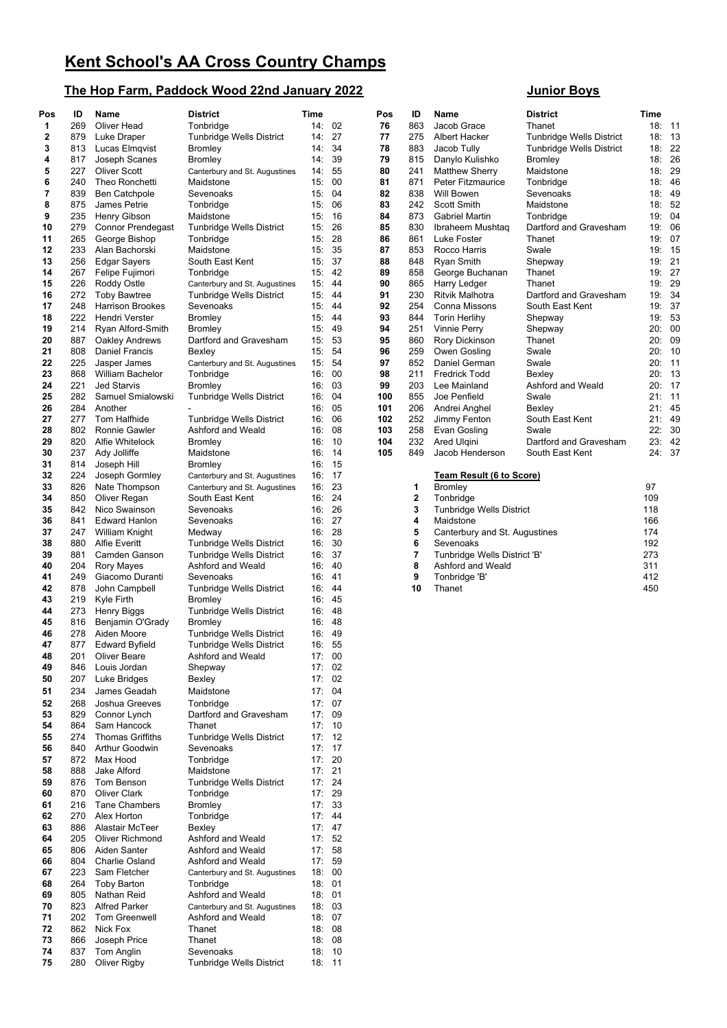## **The Hop Farm, Paddock Wood 22nd January 2022 Junior Boys**

| Pos      | ID         | Name                                   | <b>District</b>                            | <b>Time</b> |                 | Pos      | ID          | Name                                       | <b>District</b>          | Time       |                |
|----------|------------|----------------------------------------|--------------------------------------------|-------------|-----------------|----------|-------------|--------------------------------------------|--------------------------|------------|----------------|
| 1        | 269        | <b>Oliver Head</b>                     | Tonbridge                                  |             | 14:02           | 76       | 863         | Jacob Grace                                | Thanet                   |            | 18: 11         |
| 2        | 879        | Luke Draper                            | Tunbridge Wells District                   |             | 14: 27          | 77       | 275         | Albert Hacker                              | Tunbridge Wells District | 18:        | 13             |
| 3        | 813        | Lucas Elmqvist                         | <b>Bromley</b>                             | 14:         | 34              | 78       | 883         | Jacob Tully                                | Tunbridge Wells District | 18:        | 22             |
| 4        | 817        | Joseph Scanes                          | Bromley                                    |             | 14:39           | 79       | 815         | Danylo Kulishko                            | <b>Bromley</b>           | 18:        | 26             |
| 5        | 227        | <b>Oliver Scott</b>                    | Canterbury and St. Augustines              |             | 14: 55          | 80       | 241         | <b>Matthew Sherry</b>                      | Maidstone                | 18:        | <b>29</b>      |
| 6<br>7   | 240<br>839 | Theo Ronchetti                         | Maidstone<br>Sevenoaks                     |             | 15:00<br>15:04  | 81<br>82 | 871<br>838  | <b>Peter Fitzmaurice</b><br>Will Bowen     | Tonbridge<br>Sevenoaks   | 18:<br>18: | 46<br>49       |
| 8        | 875        | Ben Catchpole<br>James Petrie          | Tonbridge                                  | 15:         | 06              | 83       | 242         | Scott Smith                                | Maidstone                | 18:        | 52             |
| 9        | 235        | Henry Gibson                           | Maidstone                                  | 15:         | - 16            | 84       | 873         | Gabriel Martin                             | Tonbridge                | 19:        | 04             |
| 10       | 279        | <b>Connor Prendegast</b>               | Tunbridge Wells District                   | 15:         | 26              | 85       | 830         | Ibraheem Mushtaq                           | Dartford and Gravesham   | 19:        | 06             |
| 11       | 265        | George Bishop                          | Tonbridge                                  | 15:         | -28             | 86       | 861         | Luke Foster                                | Thanet                   | 19:        | 07             |
| 12       | 233        | Alan Bachorski                         | Maidstone                                  | 15:         | 35              | 87       | 853         | Rocco Harris                               | Swale                    | 19:        | 15             |
| 13       | 256        | Edgar Sayers                           | South East Kent                            |             | 15:37           | 88       | 848         | <b>Ryan Smith</b>                          | Shepway                  | 19:        | 21             |
| 14       | 267        | Felipe Fujimori                        | Tonbridge                                  |             | 15: 42          | 89       | 858         | George Buchanan                            | Thanet                   | 19:        | 27             |
| 15       | 226        | Roddy Ostle                            | Canterbury and St. Augustines              |             | 15: 44          | 90       | 865         | Harry Ledger                               | Thanet                   | 19:        | <b>29</b>      |
| 16       | 272        | <b>Toby Bawtree</b>                    | <b>Tunbridge Wells District</b>            | 15:         | 44              | 91       | 230         | Ritvik Malhotra                            | Dartford and Gravesham   | 19:        | 34             |
| 17       | 248        | <b>Harrison Brookes</b>                | Sevenoaks                                  | 15: 44      |                 | 92       | 254         | Conna Missons                              | South East Kent          | 19:        | 37             |
| 18       | 222        | Hendri Verster                         | Bromley                                    | 15:         | -44             | 93       | 844         | <b>Torin Herlihy</b>                       | Shepway                  | 19:        | 53             |
| 19       | 214        | Ryan Alford-Smith                      | <b>Bromley</b>                             |             | 15: 49          | 94       | 251         | <b>Vinnie Perry</b>                        | Shepway                  | 20:        | 0C             |
| 20<br>21 | 887        | Oakley Andrews                         | Dartford and Gravesham                     | 15:         | 53<br>54        | 95       | 860         | Rory Dickinson                             | Thanet                   | 20:        | 09             |
| 22       | 808<br>225 | <b>Daniel Francis</b>                  | Bexley                                     | 15:         | 15: 54          | 96<br>97 | 259<br>852  | Owen Gosling                               | Swale<br>Swale           | 20:<br>20: | 10<br>11       |
| 23       | 868        | Jasper James<br>William Bachelor       | Canterbury and St. Augustines<br>Tonbridge |             | 16:00           | 98       | 211         | Daniel German<br>Fredrick Todd             | Bexley                   | 20:        | 13             |
| 24       | 221        | <b>Jed Starvis</b>                     | Bromley                                    |             | 16:03           | 99       | 203         | Lee Mainland                               | Ashford and Weald        | 20:        | 17             |
| 25       | 282        | Samuel Smialowski                      | Tunbridge Wells District                   |             | 16: 04          | 100      | 855         | Joe Penfield                               | Swale                    | 21:        | 11             |
| 26       | 284        | Another                                |                                            |             | 16: 05          | 101      | 206         | Andrei Anghel                              | Bexley                   | 21:        | 45             |
| 27       | 277        | Tom Halfhide                           | Tunbridge Wells District                   |             | 16:06           | 102      | 252         | Jimmy Fenton                               | South East Kent          | 21:        | 49             |
| 28       | 802        | <b>Ronnie Gawler</b>                   | Ashford and Weald                          |             | 16:08           | 103      | 258         | Evan Gosling                               | Swale                    | 22:        | 3 <sub>C</sub> |
| 29       | 820        | Alfie Whitelock                        | <b>Bromley</b>                             | 16:         | 10              | 104      | 232         | Ared Ulgini                                | Dartford and Gravesham   | 23:        | 42             |
| 30       | 237        | Ady Jolliffe                           | Maidstone                                  | 16:         | - 14            | 105      | 849         | Jacob Henderson                            | South East Kent          |            | 24: 37         |
| 31       | 814        | Joseph Hill                            | <b>Bromley</b>                             | 16:         | - 15            |          |             |                                            |                          |            |                |
| 32       | 224        | Joseph Gormley                         | Canterbury and St. Augustines              | 16:         | - 17            |          |             | Team Result (6 to Score)                   |                          |            |                |
| 33       | 826        | Nate Thompson                          | Canterbury and St. Augustines              | 16:         | -23             |          | 1           | <b>Bromley</b>                             |                          | 97         |                |
| 34       | 850        | Oliver Regan                           | South East Kent                            | 16:         | 24              |          | $\mathbf 2$ | Tonbridge                                  |                          | 109        |                |
| 35       | 842        | Nico Swainson                          | Sevenoaks                                  |             | 16: 26          |          | 3           | Tunbridge Wells District                   |                          | 118        |                |
| 36<br>37 | 841<br>247 | <b>Edward Hanlon</b>                   | Sevenoaks                                  |             | 16:27<br>16: 28 |          | 4<br>5      | Maidstone                                  |                          | 166<br>174 |                |
| 38       | 880        | William Knight<br><b>Alfie Everitt</b> | Medway<br>Tunbridge Wells District         | 16:         | 30              |          | 6           | Canterbury and St. Augustines<br>Sevenoaks |                          | 192        |                |
| 39       | 881        | Camden Ganson                          | Tunbridge Wells District                   |             | 16:37           |          | 7           | Tunbridge Wells District 'B'               |                          | 273        |                |
| 40       | 204        | <b>Rory Mayes</b>                      | Ashford and Weald                          |             | 16: 40          |          | 8           | Ashford and Weald                          |                          | 311        |                |
| 41       | 249        | Giacomo Duranti                        | Sevenoaks                                  | 16: 41      |                 |          | 9           | Tonbridge 'B'                              |                          | 412        |                |
| 42       | 878        | John Campbell                          | Tunbridge Wells District                   | 16:         | 44              |          | 10          | Thanet                                     |                          | 450        |                |
| 43       | 219        | Kyle Firth                             | Bromley                                    |             | 16: 45          |          |             |                                            |                          |            |                |
| 44       | 273        | Henry Biggs                            | Tunbridge Wells District                   |             | 16:48           |          |             |                                            |                          |            |                |
| 45       | 816        | Benjamin O'Grady                       | Bromley                                    |             | 16: 48          |          |             |                                            |                          |            |                |
| 46       | 278        | Aiden Moore                            | Tunbridge Wells District                   |             | 16: 49          |          |             |                                            |                          |            |                |
| 47       | 877        | <b>Edward Byfield</b>                  | <b>Tunbridge Wells District</b>            |             | 16: 55          |          |             |                                            |                          |            |                |
| 48       | 201        | <b>Oliver Beare</b>                    | Ashford and Weald                          |             | 17:00           |          |             |                                            |                          |            |                |
| 49       | 846        | Louis Jordan                           | Shepway                                    |             | 17:02<br>17:02  |          |             |                                            |                          |            |                |
| 50       | 207        | Luke Bridges                           | Bexley                                     |             |                 |          |             |                                            |                          |            |                |
| 51       | 234        | James Geadah                           | Maidstone                                  |             | 17:04           |          |             |                                            |                          |            |                |
| 52<br>53 | 268<br>829 | Joshua Greeves<br>Connor Lynch         | Tonbridge<br>Dartford and Gravesham        |             | 17:07<br>17:09  |          |             |                                            |                          |            |                |
| 54       | 864        | Sam Hancock                            | Thanet                                     |             | 17:10           |          |             |                                            |                          |            |                |
| 55       | 274        | <b>Thomas Griffiths</b>                | <b>Tunbridge Wells District</b>            |             | 17:12           |          |             |                                            |                          |            |                |
| 56       | 840        | Arthur Goodwin                         | Sevenoaks                                  |             | 17:17           |          |             |                                            |                          |            |                |
| 57       | 872        | Max Hood                               | Tonbridge                                  |             | 17: 20          |          |             |                                            |                          |            |                |
| 58       | 888        | Jake Alford                            | Maidstone                                  | 17:21       |                 |          |             |                                            |                          |            |                |
| 59       | 876        | Tom Benson                             | <b>Tunbridge Wells District</b>            |             | 17:24           |          |             |                                            |                          |            |                |
| 60       | 870        | <b>Oliver Clark</b>                    | Tonbridge                                  |             | 17:29           |          |             |                                            |                          |            |                |
| 61       | 216        | <b>Tane Chambers</b>                   | <b>Bromley</b>                             |             | 17:33           |          |             |                                            |                          |            |                |
| 62       | 270        | Alex Horton                            | Tonbridge                                  |             | 17:44           |          |             |                                            |                          |            |                |
| 63       | 886        | Alastair McTeer                        | Bexley                                     |             | 17:47           |          |             |                                            |                          |            |                |
| 64       | 205        | Oliver Richmond                        | Ashford and Weald                          |             | 17: 52          |          |             |                                            |                          |            |                |
| 65       | 806        | Aiden Santer                           | Ashford and Weald                          |             | 17:58           |          |             |                                            |                          |            |                |
| 66       | 804        | Charlie Osland                         | Ashford and Weald                          |             | 17:59           |          |             |                                            |                          |            |                |
| 67<br>68 | 223<br>264 | Sam Fletcher<br><b>Toby Barton</b>     | Canterbury and St. Augustines<br>Tonbridge |             | 18:00<br>18:01  |          |             |                                            |                          |            |                |
| 69       | 805        | Nathan Reid                            | Ashford and Weald                          |             | 18:01           |          |             |                                            |                          |            |                |
| 70       | 823        | <b>Alfred Parker</b>                   | Canterbury and St. Augustines              |             | 18:03           |          |             |                                            |                          |            |                |
| 71       | 202        | <b>Tom Greenwell</b>                   | Ashford and Weald                          |             | 18: 07          |          |             |                                            |                          |            |                |
| 72       | 862        | Nick Fox                               | Thanet                                     |             | 18:08           |          |             |                                            |                          |            |                |
| 73       | 866        | Joseph Price                           | Thanet                                     |             | 18:08           |          |             |                                            |                          |            |                |
| 74       | 837        | Tom Anglin                             | Sevenoaks                                  |             | 18:10           |          |             |                                            |                          |            |                |
| 75       | 280        | Oliver Rigby                           | Tunbridge Wells District                   |             | 18:11           |          |             |                                            |                          |            |                |

| ID             | <b>Name</b>                     | <b>District</b>                 | Time |    |
|----------------|---------------------------------|---------------------------------|------|----|
| 863            | Jacob Grace                     | Thanet                          | 18:  | 11 |
| 275            | Albert Hacker                   | Tunbridge Wells District        | 18:  | 13 |
| 883            | Jacob Tully                     | <b>Tunbridge Wells District</b> | 18:  | 22 |
| 815            | Danylo Kulishko                 | Bromley                         | 18:  | 26 |
| 241            | <b>Matthew Sherry</b>           | Maidstone                       | 18:  | 29 |
| 871            | <b>Peter Fitzmaurice</b>        | Tonbridge                       | 18:  | 46 |
| 838            | Will Bowen                      | Sevenoaks                       | 18:  | 49 |
| 242            | Scott Smith                     | Maidstone                       | 18:  | 52 |
| 873            | <b>Gabriel Martin</b>           | Tonbridge                       | 19:  | 04 |
| 830            | Ibraheem Mushtag                | Dartford and Gravesham          | 19:  | 06 |
| 861            | Luke Foster                     | Thanet                          | 19:  | 07 |
| 853            | Rocco Harris                    | Swale                           | 19:  | 15 |
| 848            | <b>Ryan Smith</b>               | Shepway                         | 19:  | 21 |
| 858            | George Buchanan                 | Thanet                          | 19:  | 27 |
| 865            | <b>Harry Ledger</b>             | Thanet                          | 19:  | 29 |
| 230            | <b>Ritvik Malhotra</b>          | Dartford and Gravesham          | 19:  | 34 |
| 254            | Conna Missons                   | South East Kent                 | 19:  | 37 |
| 844            | <b>Torin Herlihy</b>            | Shepway                         | 19:  | 53 |
| 251            | Vinnie Perry                    | Shepway                         | 20:  | 00 |
| 860            | Rory Dickinson                  | Thanet                          | 20:  | 09 |
| 259            | Owen Gosling                    | Swale                           | 20:  | 10 |
| 852            | Daniel German                   | Swale                           | 20:  | 11 |
| 211            | <b>Fredrick Todd</b>            | Bexley                          | 20:  | 13 |
| 203            | Lee Mainland                    | Ashford and Weald               | 20:  | 17 |
| 855            | Joe Penfield                    | Swale                           | 21:  | 11 |
| 206            | Andrei Anghel                   | Bexley                          | 21:  | 45 |
| 252            | Jimmy Fenton                    | South East Kent                 | 21:  | 49 |
| 258            | Evan Gosling                    | Swale                           | 22:  | 30 |
| 232            | Ared Ulgini                     | Dartford and Gravesham          | 23:  | 42 |
| 849            | Jacob Henderson                 | South East Kent                 | 24:  | 37 |
|                | Team Result (6 to Score)        |                                 |      |    |
| 1              | <b>Bromley</b>                  |                                 | 97   |    |
| $\overline{2}$ | Tonbridge                       |                                 | 109  |    |
| 3              | <b>Tunbridge Wells District</b> |                                 | 118  |    |
| 4              | Maidstone                       |                                 | 166  |    |
| 5              | Canterbury and St. Augustines   |                                 | 174  |    |
| 6              | Sevenoaks                       |                                 | 192  |    |
| 7              | Tunbridge Wells District 'B'    |                                 | 273  |    |
| 8              | Ashford and Weald               |                                 | 311  |    |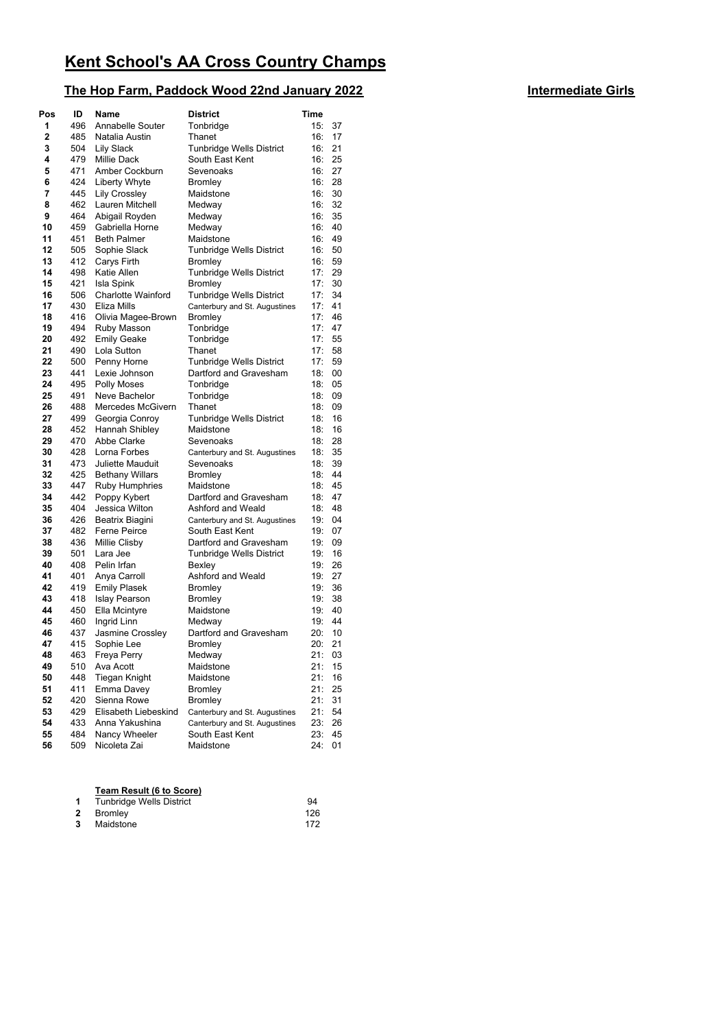# **The Hop Farm, Paddock Wood 22nd January 2022 Intermediate Girls**

| Pos      | ID         | <b>Name</b>                 | <b>District</b>               | Time       |          |
|----------|------------|-----------------------------|-------------------------------|------------|----------|
| 1        | 496        | Annabelle Souter            | Tonbridge                     | 15:        | 37       |
| 2        | 485        | Natalia Austin              | Thanet                        | 16:        | 17       |
| 3        | 504        | <b>Lily Slack</b>           | Tunbridge Wells District      | 16:        | 21       |
| 4        | 479        | <b>Millie Dack</b>          | South East Kent               | 16:        | 25       |
| 5        | 471        | Amber Cockburn              | Sevenoaks                     | 16:        | 27       |
| 6        | 424        | Liberty Whyte               | Bromley                       | 16:        | 28       |
| 7        | 445        | Lily Crossley               | Maidstone                     | 16:        | 30       |
| 8        | 462        | Lauren Mitchell             | Medway                        | 16:        | 32       |
| 9        | 464        | Abigail Royden              | Medway                        | 16:        | 35       |
| 10       | 459        | Gabriella Horne             | Medway                        | 16:        | 40       |
| 11       | 451        | <b>Beth Palmer</b>          | Maidstone                     | 16:        | 49       |
| 12       | 505        | Sophie Slack                | Tunbridge Wells District      | 16:        | 50       |
| 13       | 412        | Carys Firth                 | Bromley                       | 16:        | 59       |
| 14       | 498        | Katie Allen                 | Tunbridge Wells District      | 17:        | 29       |
| 15       | 421        | Isla Spink                  | Bromley                       | 17:        | 30       |
| 16       | 506        | <b>Charlotte Wainford</b>   | Tunbridge Wells District      | 17:        | 34       |
| 17       | 430        | Eliza Mills                 | Canterbury and St. Augustines | 17:        | 41       |
| 18       | 416        | Olivia Magee-Brown          | Bromley                       | 17:        | 46       |
| 19       | 494        | Ruby Masson                 | Tonbridge                     | 17:        | 47       |
| 20       | 492        | <b>Emily Geake</b>          | Tonbridge                     | 17:        | 55       |
| 21       | 490        | Lola Sutton                 | Thanet                        | 17:        | 58       |
| 22       | 500        | Penny Horne                 | Tunbridge Wells District      | 17:        | 59       |
| 23       | 441        | Lexie Johnson               | Dartford and Gravesham        | 18:        | 00       |
| 24       | 495        | <b>Polly Moses</b>          | Tonbridge                     | 18:        | 05       |
| 25       | 491        | Neve Bachelor               | Tonbridge                     | 18:        | 09       |
| 26       | 488        | Mercedes McGivern           | Thanet                        | 18:        | 09       |
| 27       | 499        | Georgia Conroy              | Tunbridge Wells District      | 18:        | 16       |
| 28       | 452        | Hannah Shibley              | Maidstone<br>Sevenoaks        | 18:        | 16       |
| 29<br>30 | 470<br>428 | Abbe Clarke<br>Lorna Forbes |                               | 18:<br>18: | 28<br>35 |
| 31       | 473        | Juliette Mauduit            | Canterbury and St. Augustines | 18:        | 39       |
| 32       | 425        | <b>Bethany Willars</b>      | Sevenoaks<br><b>Bromley</b>   | 18:        | 44       |
| 33       | 447        | Ruby Humphries              | Maidstone                     | 18:        | 45       |
| 34       | 442        | Poppy Kybert                | Dartford and Gravesham        | 18:        | 47       |
| 35       | 404        | Jessica Wilton              | Ashford and Weald             | 18:        | 48       |
| 36       | 426        | Beatrix Biagini             | Canterbury and St. Augustines | 19:        | 04       |
| 37       | 482        | <b>Ferne Peirce</b>         | South East Kent               | 19:        | 07       |
| 38       | 436        | Millie Clisby               | Dartford and Gravesham        | 19:        | 09       |
| 39       | 501        | Lara Jee                    | Tunbridge Wells District      | 19:        | 16       |
| 40       | 408        | Pelin Irfan                 | Bexley                        | 19:        | 26       |
| 41       | 401        | Anya Carroll                | Ashford and Weald             | 19:        | 27       |
| 42       | 419        | <b>Emily Plasek</b>         | Bromley                       | 19:        | 36       |
| 43       | 418        | <b>Islay Pearson</b>        | <b>Bromley</b>                | 19:        | 38       |
| 44       | 450        | Ella Mcintyre               | Maidstone                     | 19:        | 40       |
| 45       | 460        | Ingrid Linn                 | Medway                        | 19:        | 44       |
| 46       | 437        | Jasmine Crossley            | Dartford and Gravesham        | 20:        | 10       |
| 47       | 415        | Sophie Lee                  | Bromley                       | 20:        | 21       |
| 48       | 463        | Freya Perry                 | Medway                        | 21: 03     |          |
| 49       | 510        | Ava Acott                   | Maidstone                     | 21:        | 15       |
| 50       | 448        | <b>Tiegan Knight</b>        | Maidstone                     | 21:        | 16       |
| 51       | 411        | Emma Davey                  | <b>Bromley</b>                | 21:        | 25       |
| 52       | 420        | Sienna Rowe                 | Bromley                       | 21:        | 31       |
| 53       | 429        | Elisabeth Liebeskind        | Canterbury and St. Augustines | 21:        | 54       |
| 54       | 433        | Anna Yakushina              | Canterbury and St. Augustines | 23:        | 26       |
| 55       | 484        | Nancy Wheeler               | South East Kent               | 23:        | 45       |
| 56       | 509        | Nicoleta Zai                | Maidstone                     | 24:        | 01       |

|             | Team Result (6 to Score) |     |
|-------------|--------------------------|-----|
| $\mathbf 1$ | Tunbridge Wells District | 94  |
|             | 2 Bromley                | 126 |
|             | <b>3</b> Maidstone       | 172 |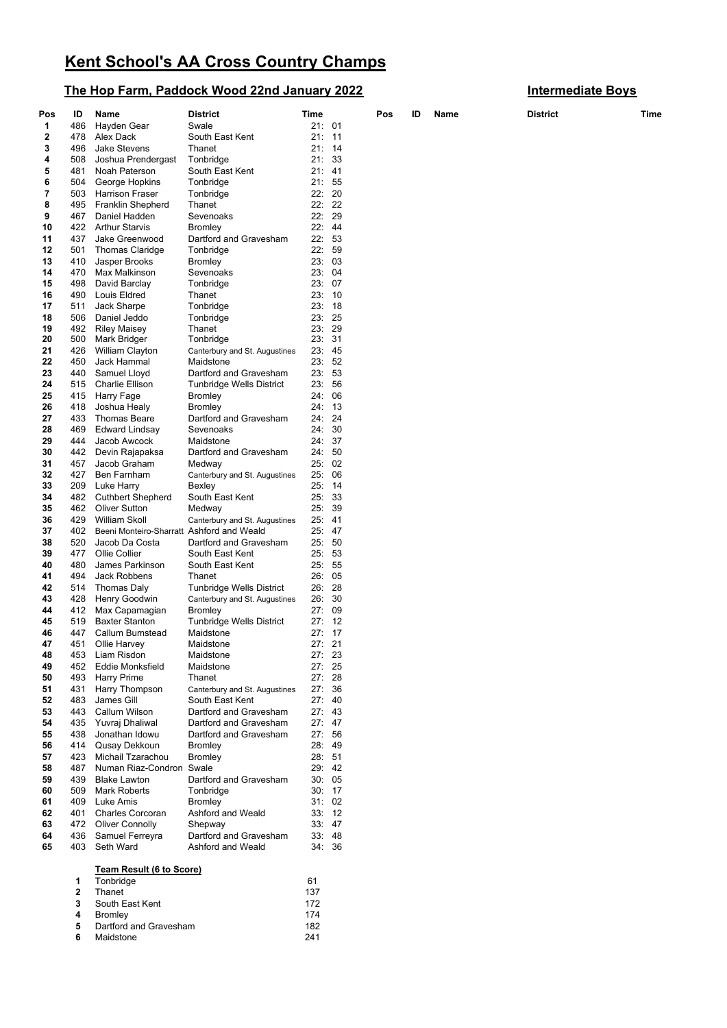## **The Hop Farm, Paddock Wood 22nd January 2022 Intermediate Boys**

| Pos | ID  | Name                                      | <b>District</b>               | Time   |      | Pos | ID | Name | <b>District</b> | Time |
|-----|-----|-------------------------------------------|-------------------------------|--------|------|-----|----|------|-----------------|------|
| 1   | 486 | Hayden Gear                               | Swale                         | 21:01  |      |     |    |      |                 |      |
| 2   | 478 | Alex Dack                                 | South East Kent               | 21:    | - 11 |     |    |      |                 |      |
| 3   | 496 | <b>Jake Stevens</b>                       | Thanet                        | 21:    | - 14 |     |    |      |                 |      |
| 4   | 508 | Joshua Prendergast                        | Tonbridge                     | 21:    | 33   |     |    |      |                 |      |
| 5   | 481 | Noah Paterson                             | South East Kent               | 21: 41 |      |     |    |      |                 |      |
| 6   | 504 | George Hopkins                            | Tonbridge                     | 21: 55 |      |     |    |      |                 |      |
| 7   | 503 | <b>Harrison Fraser</b>                    | Tonbridge                     | 22:    | 20   |     |    |      |                 |      |
|     |     |                                           |                               | 22:22  |      |     |    |      |                 |      |
| 8   | 495 | Franklin Shepherd                         | Thanet                        |        |      |     |    |      |                 |      |
| 9   | 467 | Daniel Hadden                             | Sevenoaks                     | 22:    | 29   |     |    |      |                 |      |
| 10  | 422 | <b>Arthur Starvis</b>                     | Bromley                       | 22: 44 |      |     |    |      |                 |      |
| 11  | 437 | Jake Greenwood                            | Dartford and Gravesham        | 22:    | 53   |     |    |      |                 |      |
| 12  | 501 | <b>Thomas Claridge</b>                    | Tonbridge                     | 22:    | 59   |     |    |      |                 |      |
| 13  | 410 | Jasper Brooks                             | Bromley                       | 23:03  |      |     |    |      |                 |      |
| 14  | 470 | Max Malkinson                             | Sevenoaks                     | 23:04  |      |     |    |      |                 |      |
| 15  | 498 | David Barclay                             | Tonbridge                     | 23: 07 |      |     |    |      |                 |      |
| 16  | 490 |                                           | Thanet                        | 23:    | 10   |     |    |      |                 |      |
|     |     | Louis Eldred                              |                               |        |      |     |    |      |                 |      |
| 17  | 511 | Jack Sharpe                               | Tonbridge                     | 23:    | - 18 |     |    |      |                 |      |
| 18  | 506 | Daniel Jeddo                              | Tonbridge                     | 23: 25 |      |     |    |      |                 |      |
| 19  | 492 | <b>Riley Maisey</b>                       | Thanet                        | 23: 29 |      |     |    |      |                 |      |
| 20  | 500 | Mark Bridger                              | Tonbridge                     | 23:    | 31   |     |    |      |                 |      |
| 21  | 426 | William Clayton                           | Canterbury and St. Augustines | 23: 45 |      |     |    |      |                 |      |
| 22  | 450 | Jack Hammal                               | Maidstone                     | 23:    | 52   |     |    |      |                 |      |
| 23  | 440 | Samuel Lloyd                              | Dartford and Gravesham        | 23: 53 |      |     |    |      |                 |      |
| 24  | 515 | Charlie Ellison                           | Tunbridge Wells District      | 23:    | 56   |     |    |      |                 |      |
| 25  |     |                                           |                               | 24: 06 |      |     |    |      |                 |      |
|     | 415 | Harry Fage                                | Bromley                       |        |      |     |    |      |                 |      |
| 26  | 418 | Joshua Healy                              | Bromley                       | 24:    | - 13 |     |    |      |                 |      |
| 27  | 433 | <b>Thomas Beare</b>                       | Dartford and Gravesham        | 24: 24 |      |     |    |      |                 |      |
| 28  | 469 | Edward Lindsay                            | Sevenoaks                     | 24:    | 30   |     |    |      |                 |      |
| 29  | 444 | Jacob Awcock                              | Maidstone                     | 24: 37 |      |     |    |      |                 |      |
| 30  | 442 | Devin Rajapaksa                           | Dartford and Gravesham        | 24: 50 |      |     |    |      |                 |      |
| 31  | 457 | Jacob Graham                              | Medway                        | 25:02  |      |     |    |      |                 |      |
| 32  | 427 | Ben Farnham                               | Canterbury and St. Augustines | 25:    | 06   |     |    |      |                 |      |
| 33  | 209 | Luke Harry                                | Bexley                        | 25:    | -14  |     |    |      |                 |      |
| 34  | 482 | <b>Cuthbert Shepherd</b>                  | South East Kent               | 25:    | 33   |     |    |      |                 |      |
| 35  | 462 |                                           |                               | 25:    | 39   |     |    |      |                 |      |
|     |     | <b>Oliver Sutton</b>                      | Medway                        |        |      |     |    |      |                 |      |
| 36  | 429 | William Skoll                             | Canterbury and St. Augustines | 25:    | -41  |     |    |      |                 |      |
| 37  | 402 | Beeni Monteiro-Sharratt Ashford and Weald |                               | 25:    | -47  |     |    |      |                 |      |
| 38  | 520 | Jacob Da Costa                            | Dartford and Gravesham        | 25: 50 |      |     |    |      |                 |      |
| 39  | 477 | Ollie Collier                             | South East Kent               | 25:    | 53   |     |    |      |                 |      |
| 40  | 480 | James Parkinson                           | South East Kent               | 25:    | 55   |     |    |      |                 |      |
| 41  | 494 | Jack Robbens                              | Thanet                        | 26:05  |      |     |    |      |                 |      |
| 42  | 514 | <b>Thomas Daly</b>                        | Tunbridge Wells District      | 26:    | 28   |     |    |      |                 |      |
| 43  | 428 | Henry Goodwin                             | Canterbury and St. Augustines | 26:    | 30   |     |    |      |                 |      |
|     |     |                                           | Bromley                       |        |      |     |    |      |                 |      |
| 44  | 412 | Max Capamagian                            |                               | 27: 09 |      |     |    |      |                 |      |
| 45  | 519 | <b>Baxter Stanton</b>                     | Tunbridge Wells District      | 27:12  |      |     |    |      |                 |      |
| 46  | 447 | Callum Bumstead                           | Maidstone                     | 27:17  |      |     |    |      |                 |      |
| 47  | 451 | Ollie Harvey                              | Maidstone                     | 27:21  |      |     |    |      |                 |      |
| 48  | 453 | Liam Risdon                               | Maidstone                     | 27: 23 |      |     |    |      |                 |      |
| 49  |     | 452 Eddie Monksfield                      | Maidstone                     | 27:25  |      |     |    |      |                 |      |
| 50  | 493 | <b>Harry Prime</b>                        | Thanet                        | 27:28  |      |     |    |      |                 |      |
| 51  | 431 | Harry Thompson                            | Canterbury and St. Augustines | 27:36  |      |     |    |      |                 |      |
| 52  | 483 | James Gill                                | South East Kent               | 27:40  |      |     |    |      |                 |      |
| 53  | 443 | Callum Wilson                             | Dartford and Gravesham        | 27:43  |      |     |    |      |                 |      |
|     |     |                                           |                               | 27:47  |      |     |    |      |                 |      |
| 54  | 435 | Yuvraj Dhaliwal                           | Dartford and Gravesham        |        |      |     |    |      |                 |      |
| 55  | 438 | Jonathan Idowu                            | Dartford and Gravesham        | 27: 56 |      |     |    |      |                 |      |
| 56  | 414 | Qusay Dekkoun                             | Bromley                       | 28: 49 |      |     |    |      |                 |      |
| 57  | 423 | Michail Tzarachou                         | <b>Bromley</b>                | 28: 51 |      |     |    |      |                 |      |
| 58  | 487 | Numan Riaz-Condron Swale                  |                               | 29: 42 |      |     |    |      |                 |      |
| 59  | 439 | <b>Blake Lawton</b>                       | Dartford and Gravesham        | 30:05  |      |     |    |      |                 |      |
| 60  | 509 | <b>Mark Roberts</b>                       | Tonbridge                     | 30:17  |      |     |    |      |                 |      |
| 61  | 409 | Luke Amis                                 | Bromley                       | 31:02  |      |     |    |      |                 |      |
| 62  | 401 | <b>Charles Corcoran</b>                   | Ashford and Weald             | 33:12  |      |     |    |      |                 |      |
|     |     |                                           |                               |        |      |     |    |      |                 |      |
| 63  |     | 472 Oliver Connolly                       | Shepway                       | 33:47  |      |     |    |      |                 |      |
| 64  | 436 | Samuel Ferreyra                           | Dartford and Gravesham        | 33:48  |      |     |    |      |                 |      |
| 65  | 403 | Seth Ward                                 | Ashford and Weald             | 34: 36 |      |     |    |      |                 |      |
|     |     |                                           |                               |        |      |     |    |      |                 |      |
|     |     | Team Result (6 to Score)                  |                               |        |      |     |    |      |                 |      |
|     | 1   | Tonbridge                                 |                               | 61     |      |     |    |      |                 |      |
|     | 2   | Thanet                                    |                               | 137    |      |     |    |      |                 |      |
|     | 3   | South East Kent                           |                               | 172    |      |     |    |      |                 |      |
|     | 4   | <b>Bromley</b>                            |                               | 174    |      |     |    |      |                 |      |
|     | 5   | Dartford and Gravesham                    |                               | 182    |      |     |    |      |                 |      |

Maidstone 241

| <b>District</b> |  |
|-----------------|--|
|                 |  |
|                 |  |
|                 |  |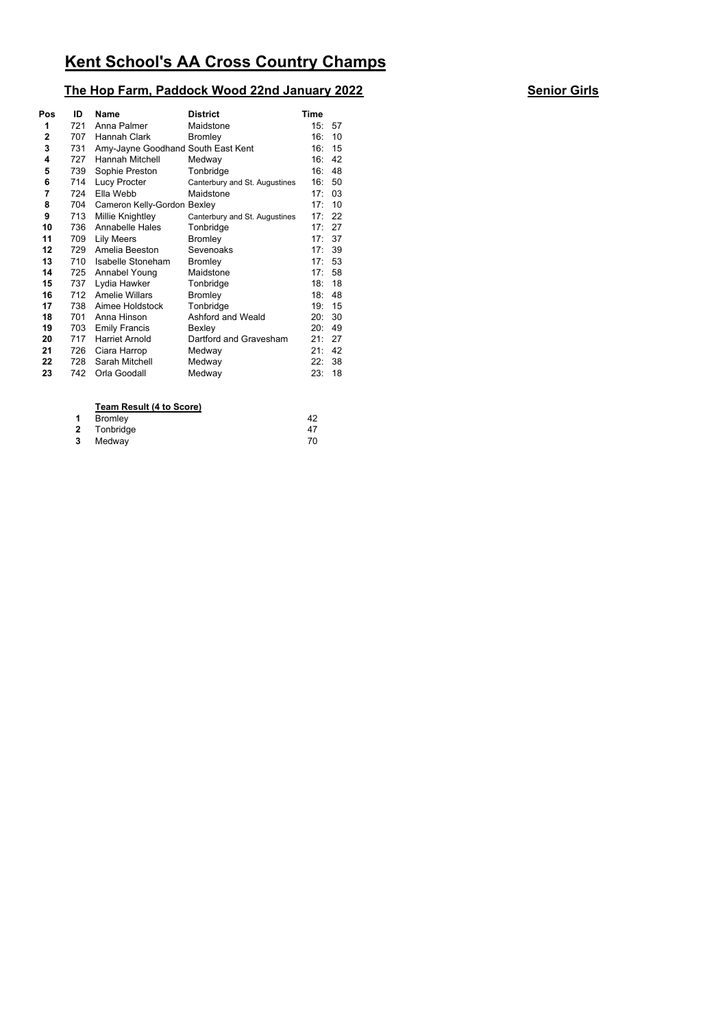## **The Hop Farm, Paddock Wood 22nd January 2022 Senior Girls**

| Pos          | ID  | Name                               | <b>District</b>               | Time |    |
|--------------|-----|------------------------------------|-------------------------------|------|----|
| 1            | 721 | Anna Palmer                        | Maidstone                     | 15:  | 57 |
| $\mathbf{2}$ | 707 | Hannah Clark                       | <b>Bromley</b>                | 16:  | 10 |
| 3            | 731 | Amy-Jayne Goodhand South East Kent |                               | 16:  | 15 |
| 4            | 727 | Hannah Mitchell                    | Medway                        | 16:  | 42 |
| 5            | 739 | Sophie Preston                     | Tonbridge                     | 16:  | 48 |
| 6            | 714 | Lucy Procter                       | Canterbury and St. Augustines | 16:  | 50 |
| 7            | 724 | Ella Webb                          | Maidstone                     | 17:  | 03 |
| 8            | 704 | Cameron Kelly-Gordon Bexley        |                               | 17:  | 10 |
| 9            | 713 | Millie Knightley                   | Canterbury and St. Augustines | 17:  | 22 |
| 10           | 736 | <b>Annabelle Hales</b>             | Tonbridge                     | 17:  | 27 |
| 11           | 709 | <b>Lily Meers</b>                  | Bromley                       | 17:  | 37 |
| 12           | 729 | Amelia Beeston                     | Sevenoaks                     | 17:  | 39 |
| 13           | 710 | Isabelle Stoneham                  | Bromley                       | 17:  | 53 |
| 14           | 725 | Annabel Young                      | Maidstone                     | 17:  | 58 |
| 15           | 737 | Lydia Hawker                       | Tonbridge                     | 18:  | 18 |
| 16           | 712 | <b>Amelie Willars</b>              | Bromley                       | 18:  | 48 |
| 17           | 738 | Aimee Holdstock                    | Tonbridge                     | 19:  | 15 |
| 18           | 701 | Anna Hinson                        | Ashford and Weald             | 20:  | 30 |
| 19           | 703 | <b>Emily Francis</b>               | Bexley                        | 20:  | 49 |
| 20           | 717 | <b>Harriet Arnold</b>              | Dartford and Gravesham        | 21:  | 27 |
| 21           | 726 | Ciara Harrop                       | Medway                        | 21:  | 42 |
| 22           | 728 | Sarah Mitchell                     | Medway                        | 22:  | 38 |
| 23           | 742 | Orla Goodall                       | Medway                        | 23:  | 18 |
|              |     |                                    |                               |      |    |

### **Team Result (4 to Score)**

|   | 1 Bromley   | 42 |
|---|-------------|----|
|   | 2 Tonbridge | 47 |
| 3 | Medway      | 70 |